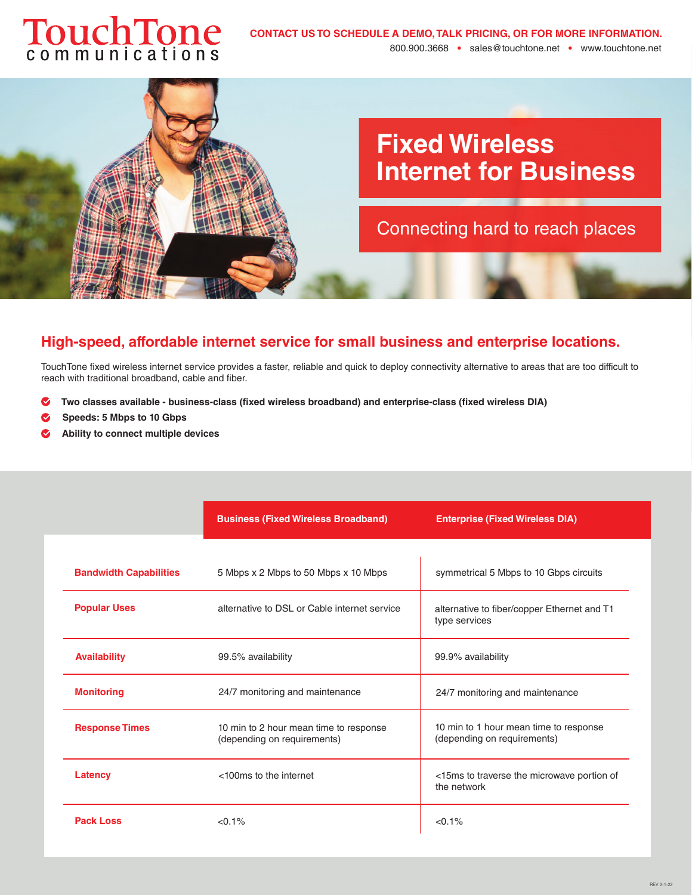# TouchTone



# **High-speed, affordable internet service for small business and enterprise locations.**

TouchTone fixed wireless internet service provides a faster, reliable and quick to deploy connectivity alternative to areas that are too difficult to reach with traditional broadband, cable and fiber.

- **Two classes available business-class (fixed wireless broadband) and enterprise-class (fixed wireless DIA)**
- **Speeds: 5 Mbps to 10 Gbps**
- **Ability to connect multiple devices**

|                               | <b>Business (Fixed Wireless Broadband)</b>                            | <b>Enterprise (Fixed Wireless DIA)</b>                                |
|-------------------------------|-----------------------------------------------------------------------|-----------------------------------------------------------------------|
|                               |                                                                       |                                                                       |
| <b>Bandwidth Capabilities</b> | 5 Mbps x 2 Mbps to 50 Mbps x 10 Mbps                                  | symmetrical 5 Mbps to 10 Gbps circuits                                |
| <b>Popular Uses</b>           | alternative to DSL or Cable internet service                          | alternative to fiber/copper Ethernet and T1<br>type services          |
| <b>Availability</b>           | 99.5% availability                                                    | 99.9% availability                                                    |
| <b>Monitoring</b>             | 24/7 monitoring and maintenance                                       | 24/7 monitoring and maintenance                                       |
| <b>Response Times</b>         | 10 min to 2 hour mean time to response<br>(depending on requirements) | 10 min to 1 hour mean time to response<br>(depending on requirements) |
| Latency                       | <100ms to the internet                                                | <15ms to traverse the microwave portion of<br>the network             |
| <b>Pack Loss</b>              | $< 0.1\%$                                                             | $< 0.1\%$                                                             |